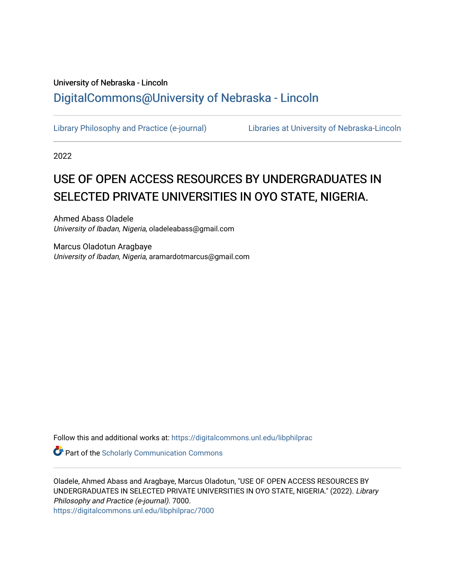# University of Nebraska - Lincoln [DigitalCommons@University of Nebraska - Lincoln](https://digitalcommons.unl.edu/)

[Library Philosophy and Practice \(e-journal\)](https://digitalcommons.unl.edu/libphilprac) [Libraries at University of Nebraska-Lincoln](https://digitalcommons.unl.edu/libraries) 

2022

# USE OF OPEN ACCESS RESOURCES BY UNDERGRADUATES IN SELECTED PRIVATE UNIVERSITIES IN OYO STATE, NIGERIA.

Ahmed Abass Oladele University of Ibadan, Nigeria, oladeleabass@gmail.com

Marcus Oladotun Aragbaye University of Ibadan, Nigeria, aramardotmarcus@gmail.com

Follow this and additional works at: [https://digitalcommons.unl.edu/libphilprac](https://digitalcommons.unl.edu/libphilprac?utm_source=digitalcommons.unl.edu%2Flibphilprac%2F7000&utm_medium=PDF&utm_campaign=PDFCoverPages) 

**Part of the Scholarly Communication Commons** 

Oladele, Ahmed Abass and Aragbaye, Marcus Oladotun, "USE OF OPEN ACCESS RESOURCES BY UNDERGRADUATES IN SELECTED PRIVATE UNIVERSITIES IN OYO STATE, NIGERIA." (2022). Library Philosophy and Practice (e-journal). 7000. [https://digitalcommons.unl.edu/libphilprac/7000](https://digitalcommons.unl.edu/libphilprac/7000?utm_source=digitalcommons.unl.edu%2Flibphilprac%2F7000&utm_medium=PDF&utm_campaign=PDFCoverPages)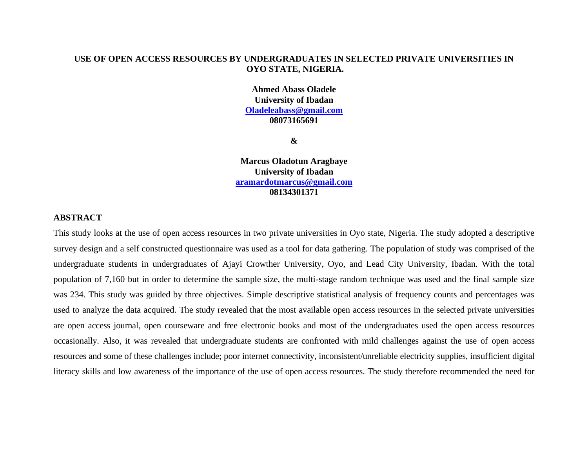#### **USE OF OPEN ACCESS RESOURCES BY UNDERGRADUATES IN SELECTED PRIVATE UNIVERSITIES IN OYO STATE, NIGERIA.**

**Ahmed Abass Oladele University of Ibadan [Oladeleabass@gmail.com](mailto:Oladeleabass@gmail.com) 08073165691**

**&**

**Marcus Oladotun Aragbaye University of Ibadan [aramardotmarcus@gmail.com](mailto:aramardotmarcus@gmail.com) 08134301371**

### **ABSTRACT**

This study looks at the use of open access resources in two private universities in Oyo state, Nigeria. The study adopted a descriptive survey design and a self constructed questionnaire was used as a tool for data gathering. The population of study was comprised of the undergraduate students in undergraduates of Ajayi Crowther University, Oyo, and Lead City University, Ibadan. With the total population of 7,160 but in order to determine the sample size, the multi-stage random technique was used and the final sample size was 234. This study was guided by three objectives. Simple descriptive statistical analysis of frequency counts and percentages was used to analyze the data acquired. The study revealed that the most available open access resources in the selected private universities are open access journal, open courseware and free electronic books and most of the undergraduates used the open access resources occasionally. Also, it was revealed that undergraduate students are confronted with mild challenges against the use of open access resources and some of these challenges include; poor internet connectivity, inconsistent/unreliable electricity supplies, insufficient digital literacy skills and low awareness of the importance of the use of open access resources. The study therefore recommended the need for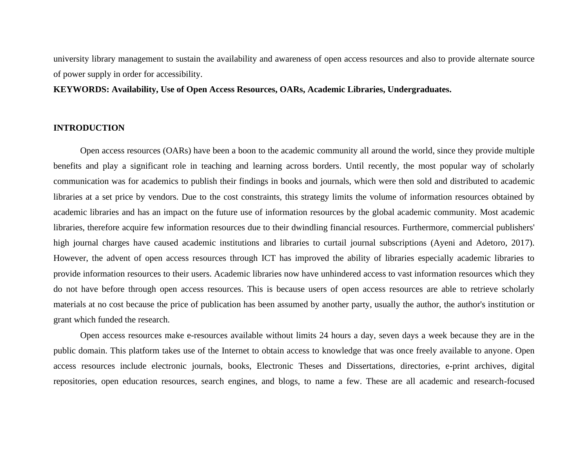university library management to sustain the availability and awareness of open access resources and also to provide alternate source of power supply in order for accessibility.

### **KEYWORDS: Availability, Use of Open Access Resources, OARs, Academic Libraries, Undergraduates.**

#### **INTRODUCTION**

Open access resources (OARs) have been a boon to the academic community all around the world, since they provide multiple benefits and play a significant role in teaching and learning across borders. Until recently, the most popular way of scholarly communication was for academics to publish their findings in books and journals, which were then sold and distributed to academic libraries at a set price by vendors. Due to the cost constraints, this strategy limits the volume of information resources obtained by academic libraries and has an impact on the future use of information resources by the global academic community. Most academic libraries, therefore acquire few information resources due to their dwindling financial resources. Furthermore, commercial publishers' high journal charges have caused academic institutions and libraries to curtail journal subscriptions (Ayeni and Adetoro, 2017). However, the advent of open access resources through ICT has improved the ability of libraries especially academic libraries to provide information resources to their users. Academic libraries now have unhindered access to vast information resources which they do not have before through open access resources. This is because users of open access resources are able to retrieve scholarly materials at no cost because the price of publication has been assumed by another party, usually the author, the author's institution or grant which funded the research.

Open access resources make e-resources available without limits 24 hours a day, seven days a week because they are in the public domain. This platform takes use of the Internet to obtain access to knowledge that was once freely available to anyone. Open access resources include electronic journals, books, Electronic Theses and Dissertations, directories, e-print archives, digital repositories, open education resources, search engines, and blogs, to name a few. These are all academic and research-focused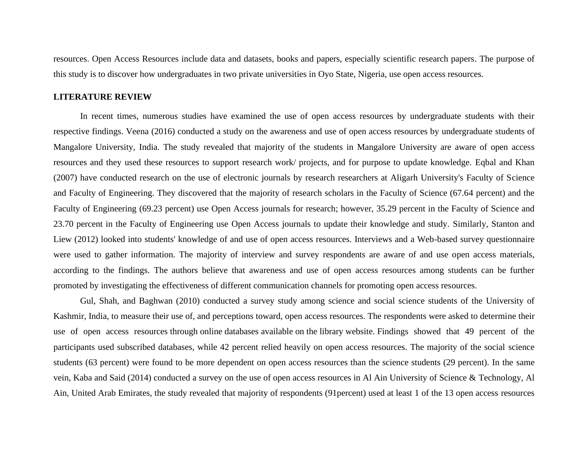resources. Open Access Resources include data and datasets, books and papers, especially scientific research papers. The purpose of this study is to discover how undergraduates in two private universities in Oyo State, Nigeria, use open access resources.

### **LITERATURE REVIEW**

In recent times, numerous studies have examined the use of open access resources by undergraduate students with their respective findings. Veena (2016) conducted a study on the awareness and use of open access resources by undergraduate students of Mangalore University, India. The study revealed that majority of the students in Mangalore University are aware of open access resources and they used these resources to support research work/ projects, and for purpose to update knowledge. Eqbal and Khan (2007) have conducted research on the use of electronic journals by research researchers at Aligarh University's Faculty of Science and Faculty of Engineering. They discovered that the majority of research scholars in the Faculty of Science (67.64 percent) and the Faculty of Engineering (69.23 percent) use Open Access journals for research; however, 35.29 percent in the Faculty of Science and 23.70 percent in the Faculty of Engineering use Open Access journals to update their knowledge and study. Similarly, Stanton and Liew (2012) looked into students' knowledge of and use of open access resources. Interviews and a Web-based survey questionnaire were used to gather information. The majority of interview and survey respondents are aware of and use open access materials, according to the findings. The authors believe that awareness and use of open access resources among students can be further promoted by investigating the effectiveness of different communication channels for promoting open access resources.

Gul, Shah, and Baghwan (2010) conducted a survey study among science and social science students of the University of Kashmir, India, to measure their use of, and perceptions toward, open access resources. The respondents were asked to determine their use of open access resources through online databases available on the library website. Findings showed that 49 percent of the participants used subscribed databases, while 42 percent relied heavily on open access resources. The majority of the social science students (63 percent) were found to be more dependent on open access resources than the science students (29 percent). In the same vein, Kaba and Said (2014) conducted a survey on the use of open access resources in Al Ain University of Science & Technology, Al Ain, United Arab Emirates, the study revealed that majority of respondents (91percent) used at least 1 of the 13 open access resources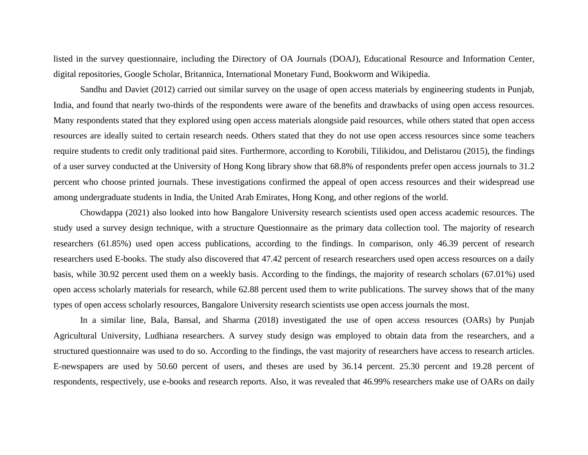listed in the survey questionnaire, including the Directory of OA Journals (DOAJ), Educational Resource and Information Center, digital repositories, Google Scholar, Britannica, International Monetary Fund, Bookworm and Wikipedia.

Sandhu and Daviet (2012) carried out similar survey on the usage of open access materials by engineering students in Punjab, India, and found that nearly two-thirds of the respondents were aware of the benefits and drawbacks of using open access resources. Many respondents stated that they explored using open access materials alongside paid resources, while others stated that open access resources are ideally suited to certain research needs. Others stated that they do not use open access resources since some teachers require students to credit only traditional paid sites. Furthermore, according to Korobili, Tilikidou, and Delistarou (2015), the findings of a user survey conducted at the University of Hong Kong library show that 68.8% of respondents prefer open access journals to 31.2 percent who choose printed journals. These investigations confirmed the appeal of open access resources and their widespread use among undergraduate students in India, the United Arab Emirates, Hong Kong, and other regions of the world.

Chowdappa (2021) also looked into how Bangalore University research scientists used open access academic resources. The study used a survey design technique, with a structure Questionnaire as the primary data collection tool. The majority of research researchers (61.85%) used open access publications, according to the findings. In comparison, only 46.39 percent of research researchers used E-books. The study also discovered that 47.42 percent of research researchers used open access resources on a daily basis, while 30.92 percent used them on a weekly basis. According to the findings, the majority of research scholars (67.01%) used open access scholarly materials for research, while 62.88 percent used them to write publications. The survey shows that of the many types of open access scholarly resources, Bangalore University research scientists use open access journals the most.

In a similar line, Bala, Bansal, and Sharma (2018) investigated the use of open access resources (OARs) by Punjab Agricultural University, Ludhiana researchers. A survey study design was employed to obtain data from the researchers, and a structured questionnaire was used to do so. According to the findings, the vast majority of researchers have access to research articles. E-newspapers are used by 50.60 percent of users, and theses are used by 36.14 percent. 25.30 percent and 19.28 percent of respondents, respectively, use e-books and research reports. Also, it was revealed that 46.99% researchers make use of OARs on daily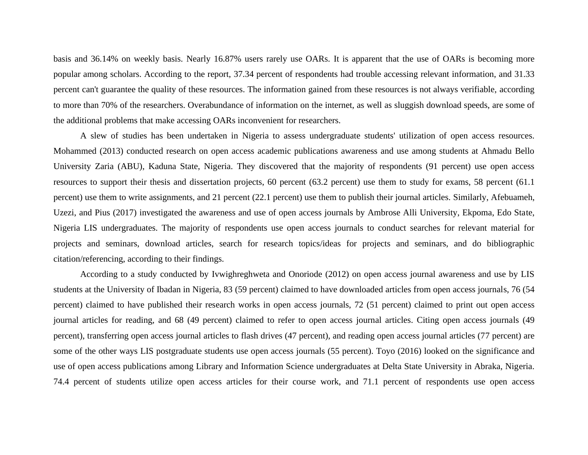basis and 36.14% on weekly basis. Nearly 16.87% users rarely use OARs. It is apparent that the use of OARs is becoming more popular among scholars. According to the report, 37.34 percent of respondents had trouble accessing relevant information, and 31.33 percent can't guarantee the quality of these resources. The information gained from these resources is not always verifiable, according to more than 70% of the researchers. Overabundance of information on the internet, as well as sluggish download speeds, are some of the additional problems that make accessing OARs inconvenient for researchers.

A slew of studies has been undertaken in Nigeria to assess undergraduate students' utilization of open access resources. Mohammed (2013) conducted research on open access academic publications awareness and use among students at Ahmadu Bello University Zaria (ABU), Kaduna State, Nigeria. They discovered that the majority of respondents (91 percent) use open access resources to support their thesis and dissertation projects, 60 percent (63.2 percent) use them to study for exams, 58 percent (61.1 percent) use them to write assignments, and 21 percent (22.1 percent) use them to publish their journal articles. Similarly, Afebuameh, Uzezi, and Pius (2017) investigated the awareness and use of open access journals by Ambrose Alli University, Ekpoma, Edo State, Nigeria LIS undergraduates. The majority of respondents use open access journals to conduct searches for relevant material for projects and seminars, download articles, search for research topics/ideas for projects and seminars, and do bibliographic citation/referencing, according to their findings.

According to a study conducted by Ivwighreghweta and Onoriode (2012) on open access journal awareness and use by LIS students at the University of Ibadan in Nigeria, 83 (59 percent) claimed to have downloaded articles from open access journals, 76 (54 percent) claimed to have published their research works in open access journals, 72 (51 percent) claimed to print out open access journal articles for reading, and 68 (49 percent) claimed to refer to open access journal articles. Citing open access journals (49 percent), transferring open access journal articles to flash drives (47 percent), and reading open access journal articles (77 percent) are some of the other ways LIS postgraduate students use open access journals (55 percent). Toyo (2016) looked on the significance and use of open access publications among Library and Information Science undergraduates at Delta State University in Abraka, Nigeria. 74.4 percent of students utilize open access articles for their course work, and 71.1 percent of respondents use open access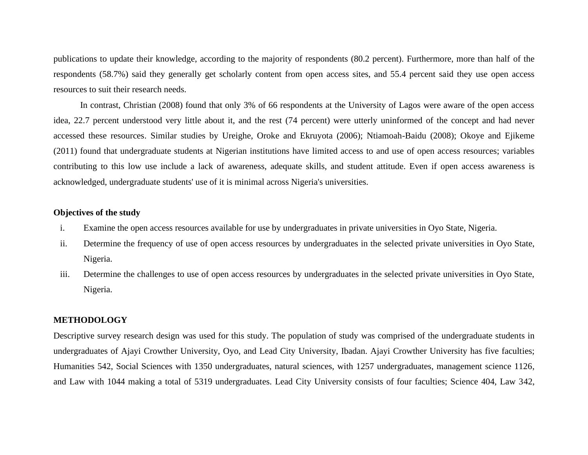publications to update their knowledge, according to the majority of respondents (80.2 percent). Furthermore, more than half of the respondents (58.7%) said they generally get scholarly content from open access sites, and 55.4 percent said they use open access resources to suit their research needs.

In contrast, Christian (2008) found that only 3% of 66 respondents at the University of Lagos were aware of the open access idea, 22.7 percent understood very little about it, and the rest (74 percent) were utterly uninformed of the concept and had never accessed these resources. Similar studies by Ureighe, Oroke and Ekruyota (2006); Ntiamoah-Baidu (2008); Okoye and Ejikeme (2011) found that undergraduate students at Nigerian institutions have limited access to and use of open access resources; variables contributing to this low use include a lack of awareness, adequate skills, and student attitude. Even if open access awareness is acknowledged, undergraduate students' use of it is minimal across Nigeria's universities.

### **Objectives of the study**

- i. Examine the open access resources available for use by undergraduates in private universities in Oyo State, Nigeria.
- ii. Determine the frequency of use of open access resources by undergraduates in the selected private universities in Oyo State, Nigeria.
- iii. Determine the challenges to use of open access resources by undergraduates in the selected private universities in Oyo State, Nigeria.

### **METHODOLOGY**

Descriptive survey research design was used for this study. The population of study was comprised of the undergraduate students in undergraduates of Ajayi Crowther University, Oyo, and Lead City University, Ibadan. Ajayi Crowther University has five faculties; Humanities 542, Social Sciences with 1350 undergraduates, natural sciences, with 1257 undergraduates, management science 1126, and Law with 1044 making a total of 5319 undergraduates. Lead City University consists of four faculties; Science 404, Law 342,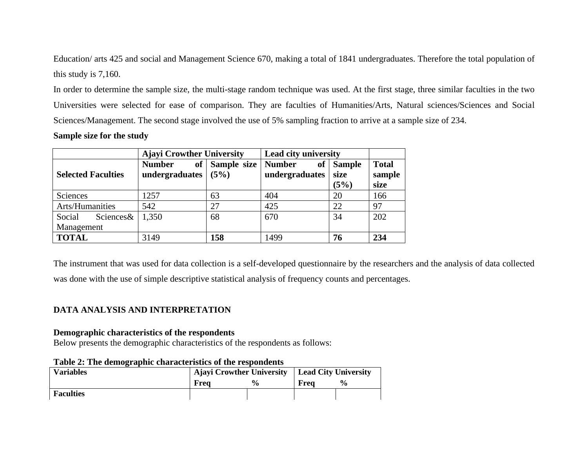Education/ arts 425 and social and Management Science 670, making a total of 1841 undergraduates. Therefore the total population of this study is 7,160.

In order to determine the sample size, the multi-stage random technique was used. At the first stage, three similar faculties in the two Universities were selected for ease of comparison. They are faculties of Humanities/Arts, Natural sciences/Sciences and Social Sciences/Management. The second stage involved the use of 5% sampling fraction to arrive at a sample size of 234.

#### **Sample size for the study**

|                                   | <b>Ajayi Crowther University</b> |                        | Lead city university                  |                               |                                |
|-----------------------------------|----------------------------------|------------------------|---------------------------------------|-------------------------------|--------------------------------|
| <b>Selected Faculties</b>         | <b>Number</b><br>undergraduates  | of Sample size<br>(5%) | <b>Number</b><br>of<br>undergraduates | <b>Sample</b><br>size<br>(5%) | <b>Total</b><br>sample<br>size |
| Sciences                          | 1257                             | 63                     | 404                                   | 20                            | 166                            |
| Arts/Humanities                   | 542                              | 27                     | 425                                   | 22                            | 97                             |
| Social<br>Sciences&<br>Management | 1,350                            | 68                     | 670                                   | 34                            | 202                            |
| <b>TOTAL</b>                      | 3149                             | 158                    | 1499                                  | 76                            | 234                            |

The instrument that was used for data collection is a self-developed questionnaire by the researchers and the analysis of data collected was done with the use of simple descriptive statistical analysis of frequency counts and percentages.

### **DATA ANALYSIS AND INTERPRETATION**

### **Demographic characteristics of the respondents**

Below presents the demographic characteristics of the respondents as follows:

| <b>Variables</b> | Ajayi Crowther University   Lead City University |               |      |               |
|------------------|--------------------------------------------------|---------------|------|---------------|
|                  | Freq                                             | $\frac{0}{0}$ | Frea | $\frac{6}{9}$ |
| <b>Faculties</b> |                                                  |               |      |               |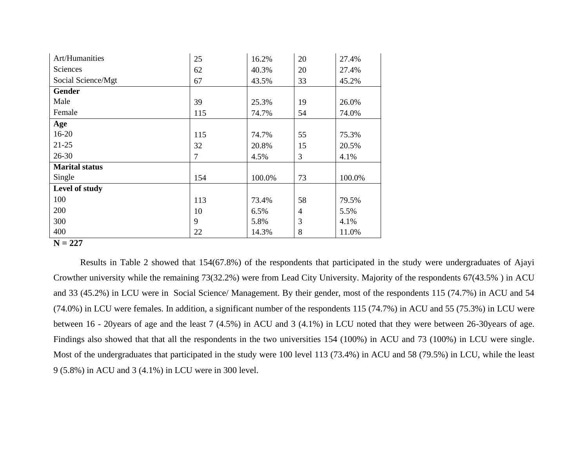| Art/Humanities        | 25  | 16.2%  | 20             | 27.4%  |
|-----------------------|-----|--------|----------------|--------|
| Sciences              | 62  | 40.3%  | 20             | 27.4%  |
| Social Science/Mgt    | 67  | 43.5%  | 33             | 45.2%  |
| Gender                |     |        |                |        |
| Male                  | 39  | 25.3%  | 19             | 26.0%  |
| Female                | 115 | 74.7%  | 54             | 74.0%  |
| Age                   |     |        |                |        |
| $16 - 20$             | 115 | 74.7%  | 55             | 75.3%  |
| $21 - 25$             | 32  | 20.8%  | 15             | 20.5%  |
| $26 - 30$             | 7   | 4.5%   | 3              | 4.1%   |
| <b>Marital status</b> |     |        |                |        |
| Single                | 154 | 100.0% | 73             | 100.0% |
| Level of study        |     |        |                |        |
| 100                   | 113 | 73.4%  | 58             | 79.5%  |
| 200                   | 10  | 6.5%   | $\overline{4}$ | 5.5%   |
| 300                   | 9   | 5.8%   | 3              | 4.1%   |
| 400                   | 22  | 14.3%  | 8              | 11.0%  |

#### **N = 227**

Results in Table 2 showed that 154(67.8%) of the respondents that participated in the study were undergraduates of Ajayi Crowther university while the remaining 73(32.2%) were from Lead City University. Majority of the respondents 67(43.5% ) in ACU and 33 (45.2%) in LCU were in Social Science/ Management. By their gender, most of the respondents 115 (74.7%) in ACU and 54 (74.0%) in LCU were females. In addition, a significant number of the respondents 115 (74.7%) in ACU and 55 (75.3%) in LCU were between 16 - 20years of age and the least 7 (4.5%) in ACU and 3 (4.1%) in LCU noted that they were between 26-30years of age. Findings also showed that that all the respondents in the two universities 154 (100%) in ACU and 73 (100%) in LCU were single. Most of the undergraduates that participated in the study were 100 level 113 (73.4%) in ACU and 58 (79.5%) in LCU, while the least 9 (5.8%) in ACU and 3 (4.1%) in LCU were in 300 level.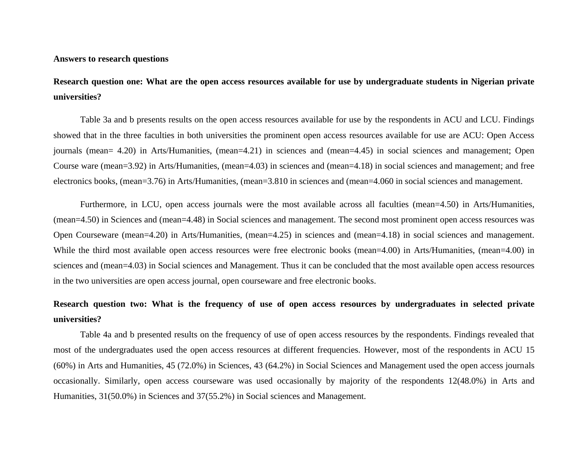#### **Answers to research questions**

### **Research question one: What are the open access resources available for use by undergraduate students in Nigerian private universities?**

Table 3a and b presents results on the open access resources available for use by the respondents in ACU and LCU. Findings showed that in the three faculties in both universities the prominent open access resources available for use are ACU: Open Access journals (mean= 4.20) in Arts/Humanities, (mean=4.21) in sciences and (mean=4.45) in social sciences and management; Open Course ware (mean=3.92) in Arts/Humanities, (mean=4.03) in sciences and (mean=4.18) in social sciences and management; and free electronics books, (mean=3.76) in Arts/Humanities, (mean=3.810 in sciences and (mean=4.060 in social sciences and management.

Furthermore, in LCU, open access journals were the most available across all faculties (mean=4.50) in Arts/Humanities, (mean=4.50) in Sciences and (mean=4.48) in Social sciences and management. The second most prominent open access resources was Open Courseware (mean=4.20) in Arts/Humanities, (mean=4.25) in sciences and (mean=4.18) in social sciences and management. While the third most available open access resources were free electronic books (mean=4.00) in Arts/Humanities, (mean=4.00) in sciences and (mean=4.03) in Social sciences and Management. Thus it can be concluded that the most available open access resources in the two universities are open access journal, open courseware and free electronic books.

### **Research question two: What is the frequency of use of open access resources by undergraduates in selected private universities?**

Table 4a and b presented results on the frequency of use of open access resources by the respondents. Findings revealed that most of the undergraduates used the open access resources at different frequencies. However, most of the respondents in ACU 15 (60%) in Arts and Humanities, 45 (72.0%) in Sciences, 43 (64.2%) in Social Sciences and Management used the open access journals occasionally. Similarly, open access courseware was used occasionally by majority of the respondents 12(48.0%) in Arts and Humanities, 31(50.0%) in Sciences and 37(55.2%) in Social sciences and Management.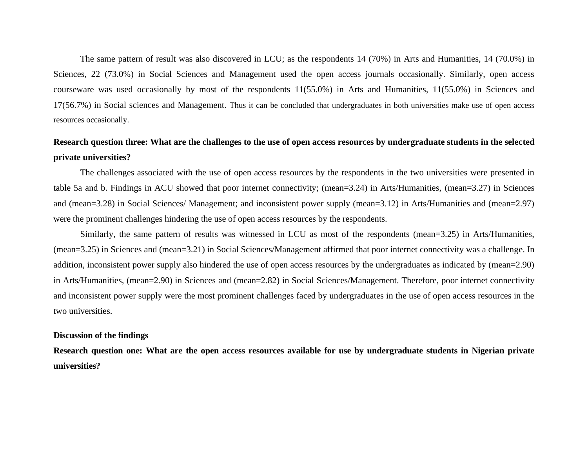The same pattern of result was also discovered in LCU; as the respondents 14 (70%) in Arts and Humanities, 14 (70.0%) in Sciences, 22 (73.0%) in Social Sciences and Management used the open access journals occasionally. Similarly, open access courseware was used occasionally by most of the respondents 11(55.0%) in Arts and Humanities, 11(55.0%) in Sciences and 17(56.7%) in Social sciences and Management. Thus it can be concluded that undergraduates in both universities make use of open access resources occasionally.

### **Research question three: What are the challenges to the use of open access resources by undergraduate students in the selected private universities?**

The challenges associated with the use of open access resources by the respondents in the two universities were presented in table 5a and b. Findings in ACU showed that poor internet connectivity; (mean=3.24) in Arts/Humanities, (mean=3.27) in Sciences and (mean=3.28) in Social Sciences/ Management; and inconsistent power supply (mean=3.12) in Arts/Humanities and (mean=2.97) were the prominent challenges hindering the use of open access resources by the respondents.

Similarly, the same pattern of results was witnessed in LCU as most of the respondents (mean=3.25) in Arts/Humanities, (mean=3.25) in Sciences and (mean=3.21) in Social Sciences/Management affirmed that poor internet connectivity was a challenge. In addition, inconsistent power supply also hindered the use of open access resources by the undergraduates as indicated by (mean=2.90) in Arts/Humanities, (mean=2.90) in Sciences and (mean=2.82) in Social Sciences/Management. Therefore, poor internet connectivity and inconsistent power supply were the most prominent challenges faced by undergraduates in the use of open access resources in the two universities.

#### **Discussion of the findings**

**Research question one: What are the open access resources available for use by undergraduate students in Nigerian private universities?**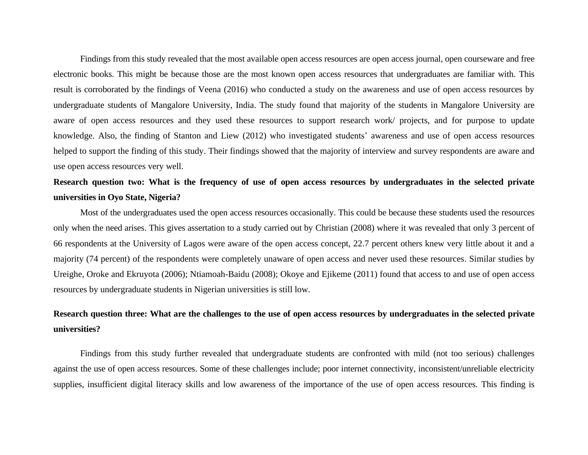Findings from this study revealed that the most available open access resources are open access journal, open courseware and free electronic books. This might be because those are the most known open access resources that undergraduates are familiar with. This result is corroborated by the findings of Veena (2016) who conducted a study on the awareness and use of open access resources by undergraduate students of Mangalore University, India. The study found that majority of the students in Mangalore University are aware of open access resources and they used these resources to support research work/ projects, and for purpose to update knowledge. Also, the finding of Stanton and Liew (2012) who investigated students' awareness and use of open access resources helped to support the finding of this study. Their findings showed that the majority of interview and survey respondents are aware and use open access resources very well.

### **Research question two: What is the frequency of use of open access resources by undergraduates in the selected private universities in Oyo State, Nigeria?**

Most of the undergraduates used the open access resources occasionally. This could be because these students used the resources only when the need arises. This gives assertation to a study carried out by Christian (2008) where it was revealed that only 3 percent of 66 respondents at the University of Lagos were aware of the open access concept, 22.7 percent others knew very little about it and a majority (74 percent) of the respondents were completely unaware of open access and never used these resources. Similar studies by Ureighe, Oroke and Ekruyota (2006); Ntiamoah-Baidu (2008); Okoye and Ejikeme (2011) found that access to and use of open access resources by undergraduate students in Nigerian universities is still low.

### **Research question three: What are the challenges to the use of open access resources by undergraduates in the selected private universities?**

Findings from this study further revealed that undergraduate students are confronted with mild (not too serious) challenges against the use of open access resources. Some of these challenges include; poor internet connectivity, inconsistent/unreliable electricity supplies, insufficient digital literacy skills and low awareness of the importance of the use of open access resources. This finding is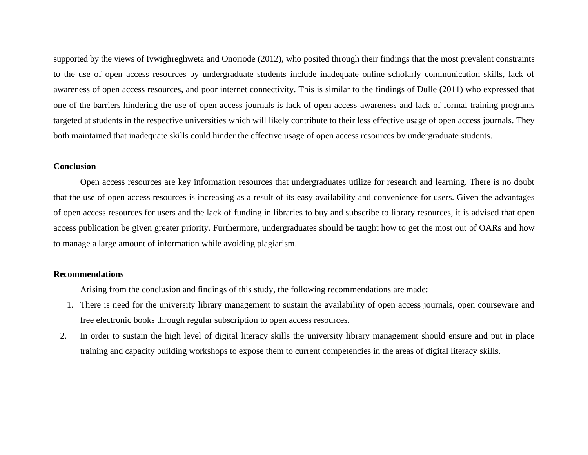supported by the views of Ivwighreghweta and Onoriode (2012), who posited through their findings that the most prevalent constraints to the use of open access resources by undergraduate students include inadequate online scholarly communication skills, lack of awareness of open access resources, and poor internet connectivity. This is similar to the findings of Dulle (2011) who expressed that one of the barriers hindering the use of open access journals is lack of open access awareness and lack of formal training programs targeted at students in the respective universities which will likely contribute to their less effective usage of open access journals. They both maintained that inadequate skills could hinder the effective usage of open access resources by undergraduate students.

#### **Conclusion**

Open access resources are key information resources that undergraduates utilize for research and learning. There is no doubt that the use of open access resources is increasing as a result of its easy availability and convenience for users. Given the advantages of open access resources for users and the lack of funding in libraries to buy and subscribe to library resources, it is advised that open access publication be given greater priority. Furthermore, undergraduates should be taught how to get the most out of OARs and how to manage a large amount of information while avoiding plagiarism.

### **Recommendations**

Arising from the conclusion and findings of this study, the following recommendations are made:

- 1. There is need for the university library management to sustain the availability of open access journals, open courseware and free electronic books through regular subscription to open access resources.
- 2. In order to sustain the high level of digital literacy skills the university library management should ensure and put in place training and capacity building workshops to expose them to current competencies in the areas of digital literacy skills.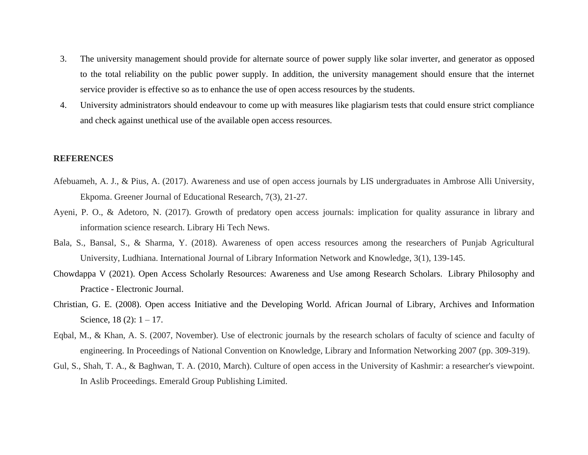- 3. The university management should provide for alternate source of power supply like solar inverter, and generator as opposed to the total reliability on the public power supply. In addition, the university management should ensure that the internet service provider is effective so as to enhance the use of open access resources by the students.
- 4. University administrators should endeavour to come up with measures like plagiarism tests that could ensure strict compliance and check against unethical use of the available open access resources.

### **REFERENCES**

- Afebuameh, A. J., & Pius, A. (2017). Awareness and use of open access journals by LIS undergraduates in Ambrose Alli University, Ekpoma. Greener Journal of Educational Research, 7(3), 21-27.
- Ayeni, P. O., & Adetoro, N. (2017). Growth of predatory open access journals: implication for quality assurance in library and information science research. Library Hi Tech News.
- Bala, S., Bansal, S., & Sharma, Y. (2018). Awareness of open access resources among the researchers of Punjab Agricultural University, Ludhiana. International Journal of Library Information Network and Knowledge, 3(1), 139-145.
- [Chowdappa](https://digitalcommons.unl.edu/do/search/?q=author_lname%3A%22V%22%20author_fname%3A%22chowdappa%22&start=0&context=52045) V (2021). Open Access Scholarly Resources: [Awareness](https://digitalcommons.unl.edu/cgi/viewcontent.cgi?article=12286&context=libphilprac) and Use among Research Scholars. Library [Philosophy](https://digitalcommons.unl.edu/libphilprac) and Practice - [Electronic](https://digitalcommons.unl.edu/libphilprac) Journal.
- Christian, G. E. (2008). Open access Initiative and the Developing World. African Journal of Library, Archives and Information Science,  $18(2)$ :  $1 - 17$ .
- Eqbal, M., & Khan, A. S. (2007, November). Use of electronic journals by the research scholars of faculty of science and faculty of engineering. In Proceedings of National Convention on Knowledge, Library and Information Networking 2007 (pp. 309-319).
- Gul, S., Shah, T. A., & Baghwan, T. A. (2010, March). Culture of open access in the University of Kashmir: a researcher's viewpoint. In Aslib Proceedings. Emerald Group Publishing Limited.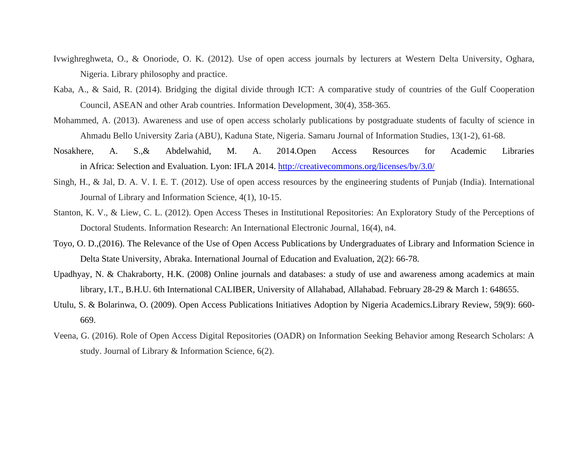- Ivwighreghweta, O., & Onoriode, O. K. (2012). Use of open access journals by lecturers at Western Delta University, Oghara, Nigeria. Library philosophy and practice.
- Kaba, A., & Said, R. (2014). Bridging the digital divide through ICT: A comparative study of countries of the Gulf Cooperation Council, ASEAN and other Arab countries. Information Development, 30(4), 358-365.
- Mohammed, A. (2013). Awareness and use of open access scholarly publications by postgraduate students of faculty of science in Ahmadu Bello University Zaria (ABU), Kaduna State, Nigeria. Samaru Journal of Information Studies, 13(1-2), 61-68.
- Nosakhere, A. S.,& Abdelwahid, M. A. 2014.Open Access Resources for Academic Libraries in Africa: Selection and Evaluation. Lyon: IFLA 2014. <http://creativecommons.org/licenses/by/3.0/>
- Singh, H., & Jal, D. A. V. I. E. T. (2012). Use of open access resources by the engineering students of Punjab (India). International Journal of Library and Information Science, 4(1), 10-15.
- Stanton, K. V., & Liew, C. L. (2012). Open Access Theses in Institutional Repositories: An Exploratory Study of the Perceptions of Doctoral Students. Information Research: An International Electronic Journal, 16(4), n4.
- Toyo, O. D.,(2016). The Relevance of the Use of Open Access Publications by Undergraduates of Library and Information Science in Delta State University, Abraka. International Journal of Education and Evaluation, 2(2): 66-78.
- Upadhyay, N. & Chakraborty, H.K. (2008) Online journals and databases: a study of use and awareness among academics at main library, I.T., B.H.U. 6th International CALIBER, University of Allahabad, Allahabad. February 28-29 & March 1: 648655.
- Utulu, S. & Bolarinwa, O. (2009). Open Access Publications Initiatives Adoption by Nigeria Academics.Library Review, 59(9): 660- 669.
- Veena, G. (2016). Role of Open Access Digital Repositories (OADR) on Information Seeking Behavior among Research Scholars: A study. Journal of Library & Information Science, 6(2).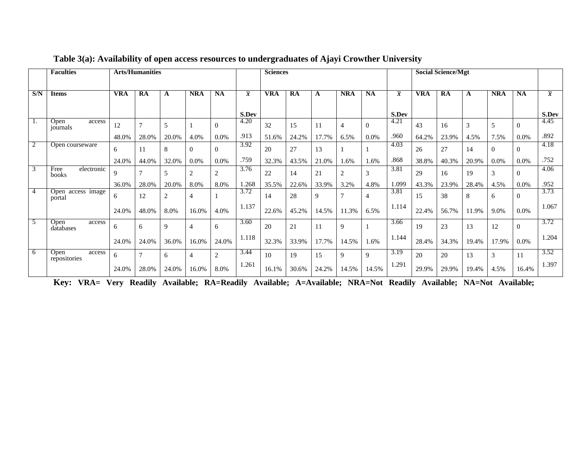|                | <b>Faculties</b>               | <b>Arts/Humanities</b> |                |                |                |                |                | <b>Sciences</b> |       |       |                |                |                |       | <b>Social Science/Mgt</b> |       |               |                |                |
|----------------|--------------------------------|------------------------|----------------|----------------|----------------|----------------|----------------|-----------------|-------|-------|----------------|----------------|----------------|-------|---------------------------|-------|---------------|----------------|----------------|
| S/N            | <b>Items</b>                   | VRA                    | RA             | A              | <b>NRA</b>     | <b>NA</b>      | $\overline{x}$ | VRA             | RA    | A     | <b>NRA</b>     | <b>NA</b>      | $\overline{x}$ | VRA   | RA                        | A     | <b>NRA</b>    | <b>NA</b>      | $\overline{x}$ |
|                |                                |                        |                |                |                |                | S.Dev          |                 |       |       |                |                | S.Dev          |       |                           |       |               |                | S.Dev          |
| $\perp$ .      | Open<br>access<br>journals     | 12                     | $\overline{ }$ | 5              |                | $\Omega$       | 4.20           | 32              | 15    | 11    | $\overline{4}$ | $\theta$       | 4.21           | 43    | 16                        | 3     |               | $\Omega$       | 4.45           |
|                |                                | 48.0%                  | 28.0%          | 20.0%          | 4.0%           | 0.0%           | .913           | 51.6%           | 24.2% | 17.7% | 6.5%           | 0.0%           | .960           | 64.2% | 23.9%                     | 4.5%  | 7.5%          | 0.0%           | .892           |
| $\overline{2}$ | Open courseware                | 6                      | 11             | 8              | $\Omega$       | $\Omega$       | 3.92           | 20              | 27    | 13    |                |                | 4.03           | 26    | 27                        | 14    | $\Omega$      | $\Omega$       | 4.18           |
|                |                                | 24.0%                  | 44.0%          | 32.0%          | 0.0%           | 0.0%           | .759           | 32.3%           | 43.5% | 21.0% | 1.6%           | 1.6%           | .868           | 38.8% | 40.3%                     | 20.9% | $0.0\%$       | 0.0%           | .752           |
| $\overline{3}$ | Free<br>electronic<br>books    | $\mathbf Q$            |                | 5              | 2              | $\overline{2}$ | 3.76           | 22              | 14    | 21    | $\overline{2}$ | 3              | 3.81           | 29    | 16                        | 19    | 3             | $\Omega$       | 4.06           |
|                |                                | 36.0%                  | 28.0%          | 20.0%          | 8.0%           | 8.0%           | 1.268          | 35.5%           | 22.6% | 33.9% | 3.2%           | 4.8%           | 1.099          | 43.3% | 23.9%                     | 28.4% | 4.5%          | 0.0%           | .952           |
| $\overline{A}$ | Open access image<br>portal    | 6                      | 12             | $\overline{2}$ | $\overline{4}$ |                | 3.72           | 14              | 28    | 9     | $\mathbf{r}$   | $\overline{4}$ | 3.81           | 15    | 38                        | 8     | 6             | $\overline{0}$ | 3.73           |
|                |                                | 24.0%                  | 48.0%          | 8.0%           | 16.0%          | 4.0%           | 1.137          | 22.6%           | 45.2% | 14.5% | 11.3%          | 6.5%           | 1.114          | 22.4% | 56.7%                     | 11.9% | 9.0%          | 0.0%           | 1.067          |
| 5              | Open<br>access<br>databases    | 6                      | 6              | 9              | $\overline{4}$ | 6              | 3.60           | 20              | 21    | 11    | 9              |                | 3.66           | 19    | 23                        | 13    | 12            | $\Omega$       | 3.72           |
|                |                                | 24.0%                  | 24.0%          | 36.0%          | 16.0%          | 24.0%          | 1.118          | 32.3%           | 33.9% | 17.7% | 14.5%          | 1.6%           | 1.144          | 28.4% | 34.3%                     | 19.4% | 17.9%         | 0.0%           | 1.204          |
| 6              | Open<br>access<br>repositories | 6                      | $\overline{ }$ | 6              | $\overline{4}$ | $\overline{2}$ | 3.44           | 10              | 19    | 15    | 9              | 9              | 3.19           | 20    | 20                        | 13    | $\mathcal{R}$ | 11             | 3.52           |
|                |                                | 24.0%                  | 28.0%          | 24.0%          | 16.0%          | 8.0%           | 1.261          | 16.1%           | 30.6% | 24.2% | 14.5%          | 14.5%          | 1.291          | 29.9% | 29.9%                     | 19.4% | 4.5%          | 16.4%          | 1.397          |

### **Table 3(a): Availability of open access resources to undergraduates of Ajayi Crowther University**

**Key: VRA= Very Readily Available; RA=Readily Available; A=Available; NRA=Not Readily Available; NA=Not Available;**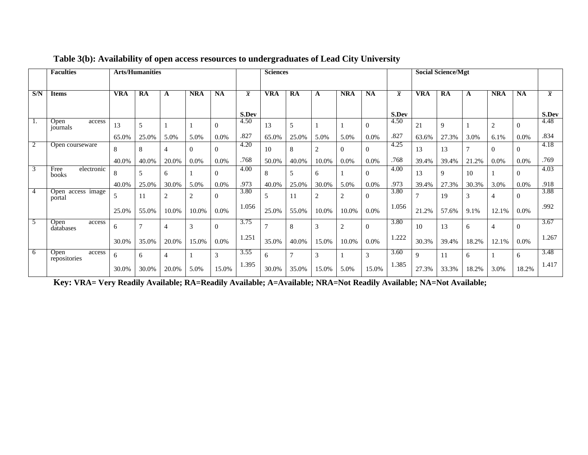|                | <b>Faculties</b>               | <b>Arts/Humanities</b> |                |                |          |                |                | <b>Sciences</b> |              |                |                |                |                |             | <b>Social Science/Mgt</b> |                |                |                |                |
|----------------|--------------------------------|------------------------|----------------|----------------|----------|----------------|----------------|-----------------|--------------|----------------|----------------|----------------|----------------|-------------|---------------------------|----------------|----------------|----------------|----------------|
| S/N            | <b>Items</b>                   | VRA                    | RA             | A              | NRA      | <b>NA</b>      | $\overline{x}$ | VRA             | RA           | A              | <b>NRA</b>     | <b>NA</b>      | $\overline{x}$ | VRA         | RA                        | A              | <b>NRA</b>     | <b>NA</b>      | $\overline{x}$ |
|                |                                |                        |                |                |          |                | S.Dev          |                 |              |                |                |                | S.Dev          |             |                           |                |                |                | S.Dev          |
| 1.             | Open<br>access<br>journals     | 13                     | 5              |                |          | $\Omega$       | 4.50           | 13              | 5            |                |                | $\theta$       | 4.50           | 21          | 9                         |                | $\overline{2}$ | $\Omega$       | 4.48           |
|                |                                | 65.0%                  | 25.0%          | 5.0%           | 5.0%     | $0.0\%$        | .827           | 65.0%           | 25.0%        | 5.0%           | 5.0%           | 0.0%           | .827           | 63.6%       | 27.3%                     | 3.0%           | 6.1%           | $0.0\%$        | .834           |
| $\overline{2}$ | Open courseware                | 8                      | 8              | 4              | $\Omega$ | $\Omega$       | 4.20           | 10              | 8            | $\overline{2}$ | $\mathbf{0}$   | $\theta$       | 4.25           | 13          | 13                        | $\overline{7}$ | $\Omega$       | $\Omega$       | 4.18           |
|                |                                | 40.0%                  | 40.0%          | 20.0%          | 0.0%     | 0.0%           | .768           | 50.0%           | 40.0%        | 10.0%          | 0.0%           | 0.0%           | .768           | 39.4%       | 39.4%                     | 21.2%          | $0.0\%$        | 0.0%           | .769           |
| 3              | Free<br>electronic<br>books    | 8                      | 5              | 6              |          | $\overline{0}$ | 4.00           | 8               | 5            | 6              |                | $\theta$       | 4.00           | 13          | 9                         | 10             |                | $\Omega$       | 4.03           |
|                |                                | 40.0%                  | 25.0%          | 30.0%          | 5.0%     | 0.0%           | .973           | 40.0%           | 25.0%        | 30.0%          | 5.0%           | 0.0%           | .973           | 39.4%       | 27.3%                     | 30.3%          | 3.0%           | 0.0%           | .918           |
|                | Open access image<br>portal    | 5                      | 11             | 2              | 2        | $\overline{0}$ | 3.80           | 5               | 11           | $\mathbf{2}$   | $\overline{2}$ | $\overline{0}$ | 3.80           | 7           | 19                        | 3              | 4              | $\overline{0}$ | 3.88           |
|                |                                | 25.0%                  | 55.0%          | 10.0%          | 10.0%    | 0.0%           | 1.056          | 25.0%           | 55.0%        | 10.0%          | 10.0%          | 0.0%           | 1.056          | 21.2%       | 57.6%                     | 9.1%           | 12.1%          | $0.0\%$        | .992           |
| 5              | Open<br>access<br>databases    | 6                      | $\overline{ }$ | $\overline{4}$ | 3        | $\Omega$       | 3.75           |                 | 8            | 3              | $\overline{2}$ | $\theta$       | 3.80           | 10          | 13                        | 6              | 4              | $\Omega$       | 3.67           |
|                |                                | 30.0%                  | 35.0%          | 20.0%          | 15.0%    | 0.0%           | 1.251          | 35.0%           | 40.0%        | 15.0%          | 10.0%          | 0.0%           | 1.222          | 30.3%       | 39.4%                     | 18.2%          | 12.1%          | 0.0%           | 1.267          |
| 6              | Open<br>access<br>repositories | 6                      | 6              | 4              |          | 3              | 3.55           | 6               | $\mathbf{r}$ | 3              |                | 3              | 3.60           | $\mathbf Q$ | 11                        | 6              |                | 6              | 3.48           |
|                |                                | 30.0%                  | 30.0%          | 20.0%          | 5.0%     | 15.0%          | 1.395          | 30.0%           | 35.0%        | 15.0%          | 5.0%           | 15.0%          | 1.385          | 27.3%       | 33.3%                     | 18.2%          | 3.0%           | 18.2%          | 1.417          |

### **Table 3(b): Availability of open access resources to undergraduates of Lead City University**

**Key: VRA= Very Readily Available; RA=Readily Available; A=Available; NRA=Not Readily Available; NA=Not Available;**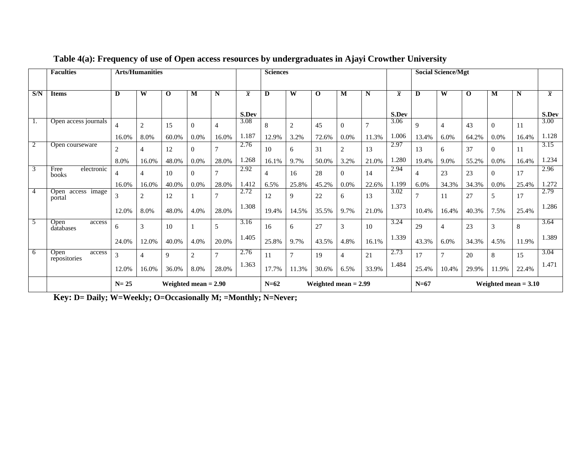|                | <b>Faculties</b>               | <b>Arts/Humanities</b>  |                         |              |                  |                |                | <b>Sciences</b> |                |                        |                         |       |                | <b>Social Science/Mgt</b> |                         |             |                        |       |                |
|----------------|--------------------------------|-------------------------|-------------------------|--------------|------------------|----------------|----------------|-----------------|----------------|------------------------|-------------------------|-------|----------------|---------------------------|-------------------------|-------------|------------------------|-------|----------------|
| S/N            | <b>Items</b>                   | $\overline{\mathbf{D}}$ | $\overline{\textbf{W}}$ | $\mathbf{o}$ | M                | N              | $\overline{x}$ | D               | W              | $\mathbf 0$            | $\overline{\mathbf{M}}$ | N     | $\overline{x}$ | D                         | $\overline{\textbf{W}}$ | $\mathbf 0$ | м                      | N     | $\overline{x}$ |
|                |                                |                         |                         |              |                  |                | S.Dev          |                 |                |                        |                         |       | S.Dev          |                           |                         |             |                        |       | S.Dev          |
| 1.             | Open access journals           | $\overline{4}$          | $\overline{2}$          | 15           | $\Omega$         | $\overline{4}$ | 3.08           | 8               | $\overline{2}$ | 45                     | $\Omega$                |       | 3.06           | $\mathbf Q$               |                         | 43          | 0                      | 11    | 3.00           |
|                |                                | 16.0%                   | 8.0%                    | 60.0%        | 0.0%             | 16.0%          | 1.187          | 12.9%           | 3.2%           | 72.6%                  | 0.0%                    | 11.3% | 1.006          | 13.4%                     | 6.0%                    | 64.2%       | 0.0%                   | 16.4% | 1.128          |
| $\overline{2}$ | Open courseware                | 2                       | $\overline{4}$          | 12           | $\Omega$         | $\tau$         | 2.76           | 10              | 6              | 31                     | $\overline{2}$          | 13    | 2.97           | 13                        | 6                       | 37          | 0                      | 11    | 3.15           |
|                |                                | 8.0%                    | 16.0%                   | 48.0%        | 0.0%             | 28.0%          | 1.268          | 16.1%           | 9.7%           | 50.0%                  | 3.2%                    | 21.0% | 1.280          | 19.4%                     | 9.0%                    | 55.2%       | 0.0%                   | 16.4% | 1.234          |
| 3              | electronic<br>Free<br>books    | 4                       | 4                       | 10           | $\Omega$         | $\overline{7}$ | 2.92           | $\overline{4}$  | 16             | 28                     | $\Omega$                | 14    | 2.94           | $\overline{4}$            | 23                      | 23          | 0                      | 17    | 2.96           |
|                |                                | 16.0%                   | 16.0%                   | 40.0%        | 0.0%             | 28.0%          | 1.412          | 6.5%            | 25.8%          | 45.2%                  | 0.0%                    | 22.6% | 1.199          | 6.0%                      | 34.3%                   | 34.3%       | 0.0%                   | 25.4% | 1.272          |
| $\overline{4}$ | access image<br>Open<br>portal | 3                       | 2                       | 12           |                  | 7              | 2.72           | 12              | 9              | 22                     | 6                       | 13    | 3.02           |                           | 11                      | 27          |                        | 17    | 2.79           |
|                |                                | 12.0%                   | 8.0%                    | 48.0%        | 4.0%             | 28.0%          | 1.308          | 19.4%           | 14.5%          | 35.5%                  | 9.7%                    | 21.0% | 1.373          | 10.4%                     | 16.4%                   | 40.3%       | 7.5%                   | 25.4% | 1.286          |
| .5             | Open<br>access<br>databases    | 6                       | 3                       | 10           |                  | 5              | 3.16           | 16              | 6              | 27                     | 3                       | 10    | 3.24           | 29                        | $\overline{4}$          | 23          | 3                      | 8     | 3.64           |
|                |                                | 24.0%                   | 12.0%                   | 40.0%        | 4.0%             | 20.0%          | 1.405          | 25.8%           | 9.7%           | 43.5%                  | 4.8%                    | 16.1% | 1.339          | 43.3%                     | 6.0%                    | 34.3%       | 4.5%                   | 11.9% | 1.389          |
| 6              | Open<br>access<br>repositories | 3                       | $\overline{4}$          | $\mathbf Q$  | $\boldsymbol{2}$ | $\overline{7}$ | 2.76           | 11              | $\tau$         | 19                     | $\overline{4}$          | 21    | 2.73           | 17                        | $\overline{ }$          | 20          | 8                      | 15    | 3.04           |
|                |                                | 12.0%                   | 16.0%                   | 36.0%        | 8.0%             | 28.0%          | 1.363          | 17.7%           | 11.3%          | 30.6%                  | 6.5%                    | 33.9% | 1.484          | 25.4%                     | 10.4%                   | 29.9%       | 11.9%                  | 22.4% | 1.471          |
|                |                                | $N=25$                  | Weighted mean $= 2.90$  |              |                  |                |                | $N=62$          |                | Weighted mean $= 2.99$ |                         |       |                | $N=67$                    |                         |             | Weighted mean $= 3.10$ |       |                |

# **Table 4(a): Frequency of use of Open access resources by undergraduates in Ajayi Crowther University**

**Key: D= Daily; W=Weekly; O=Occasionally M; =Monthly; N=Never;**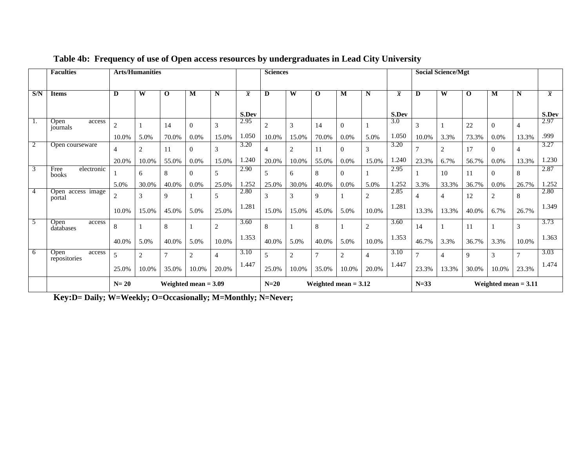|                | <b>Faculties</b>               |                | <b>Arts/Humanities</b> |             |          |                |                | <b>Sciences</b> |                |                |                        |                |                  |                | <b>Social Science/Mgt</b> |              |                        |                |                |
|----------------|--------------------------------|----------------|------------------------|-------------|----------|----------------|----------------|-----------------|----------------|----------------|------------------------|----------------|------------------|----------------|---------------------------|--------------|------------------------|----------------|----------------|
| S/N            | <b>Items</b>                   | D              | W                      | $\mathbf 0$ | M        | N              | $\overline{x}$ | D               | W              | $\mathbf 0$    | M                      | N              | $\overline{x}$   | D              | W                         | $\mathbf{o}$ | м                      | N              | $\overline{x}$ |
|                |                                |                |                        |             |          |                | S.Dev          |                 |                |                |                        |                | S.Dev            |                |                           |              |                        |                | S.Dev          |
| <sup>1.</sup>  | Open<br>access<br>journals     | $\overline{c}$ |                        | 14          | $\Omega$ | 3              | 2.95           | $\overline{2}$  | 3              | 14             | $\theta$               |                | $\overline{3.0}$ | 3              |                           | 22           | 0                      | 4              | 2.97           |
|                |                                | 10.0%          | 5.0%                   | 70.0%       | 0.0%     | 15.0%          | 1.050          | 10.0%           | 15.0%          | 70.0%          | 0.0%                   | 5.0%           | 1.050            | 10.0%          | 3.3%                      | 73.3%        | 0.0%                   | 13.3%          | .999           |
| $\overline{2}$ | Open courseware                | 4              | $\overline{2}$         | 11          | $\Omega$ | 3              | 3.20           | $\overline{4}$  | $\mathfrak{D}$ | 11             | $\Omega$               | 3              | 3.20             |                | $\overline{2}$            | 17           | 0                      | 4              | 3.27           |
|                |                                | 20.0%          | 10.0%                  | 55.0%       | 0.0%     | 15.0%          | 1.240          | 20.0%           | 10.0%          | 55.0%          | 0.0%                   | 15.0%          | 1.240            | 23.3%          | 6.7%                      | 56.7%        | 0.0%                   | 13.3%          | 1.230          |
| 3              | electronic<br>Free<br>books    |                | 6                      | 8           | $\Omega$ | 5              | 2.90           | 5               | 6              | 8              | $\Omega$               |                | 2.95             |                | 10                        | 11           | 0                      | 8              | 2.87           |
|                |                                | 5.0%           | 30.0%                  | 40.0%       | 0.0%     | 25.0%          | 1.252          | 25.0%           | 30.0%          | 40.0%          | 0.0%                   | 5.0%           | 1.252            | 3.3%           | 33.3%                     | 36.7%        | 0.0%                   | 26.7%          | 1.252          |
| $\overline{4}$ | Open access image<br>portal    | $\overline{c}$ | 3                      | 9           |          | 5              | 2.80           | 3               | 3              | 9              |                        | $\overline{2}$ | 2.85             | $\overline{4}$ | 4                         | 12           | 2                      | 8              | 2.80           |
|                |                                | 10.0%          | 15.0%                  | 45.0%       | 5.0%     | 25.0%          | 1.281          | 15.0%           | 15.0%          | 45.0%          | 5.0%                   | 10.0%          | 1.281            | 13.3%          | 13.3%                     | 40.0%        | 6.7%                   | 26.7%          | 1.349          |
| 5              | Open<br>access<br>databases    | 8              |                        | 8           |          | $\mathbf{2}$   | 3.60           | 8               |                | 8              |                        | $\overline{2}$ | 3.60             | 14             |                           | 11           |                        | 3              | 3.73           |
|                |                                | 40.0%          | 5.0%                   | 40.0%       | 5.0%     | 10.0%          | 1.353          | 40.0%           | 5.0%           | 40.0%          | 5.0%                   | 10.0%          | 1.353            | 46.7%          | 3.3%                      | 36.7%        | 3.3%                   | 10.0%          | 1.363          |
| 6              | Open<br>access<br>repositories | 5              | $\overline{2}$         | 7           | 2        | $\overline{4}$ | 3.10           | 5               | $\overline{c}$ | $\overline{7}$ | $\overline{2}$         | $\overline{4}$ | 3.10             | $\overline{7}$ | $\overline{4}$            | 9            | 3                      | $\overline{ }$ | 3.03           |
|                |                                | 25.0%          | 10.0%                  | 35.0%       | 10.0%    | 20.0%          | 1.447          | 25.0%           | 10.0%          | 35.0%          | 10.0%                  | 20.0%          | 1.447            | 23.3%          | 13.3%                     | 30.0%        | 10.0%                  | 23.3%          | 1.474          |
|                |                                | $N=20$         | Weighted mean $= 3.09$ |             |          |                |                | $N=20$          |                |                | Weighted mean $= 3.12$ |                |                  | $N=33$         |                           |              | Weighted mean $= 3.11$ |                |                |

# **Table 4b: Frequency of use of Open access resources by undergraduates in Lead City University**

**Key:D= Daily; W=Weekly; O=Occasionally; M=Monthly; N=Never;**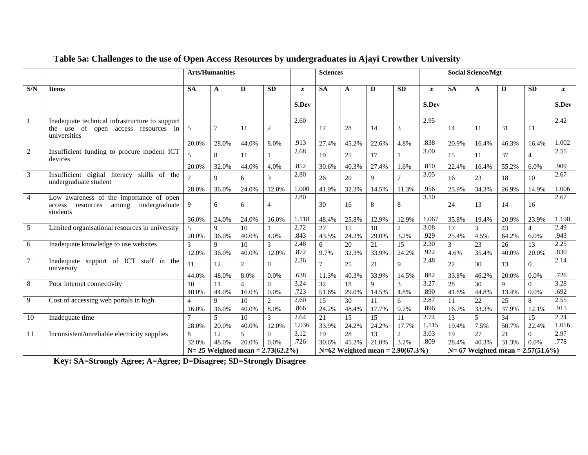|                 |                                                                                                       | <b>Arts/Humanities</b>          |                |                                      |                |                | <b>Sciences</b>                                                   |       |                                    |                |                   |                        | <b>Social Science/Mgt</b> |                 |                                    |                |
|-----------------|-------------------------------------------------------------------------------------------------------|---------------------------------|----------------|--------------------------------------|----------------|----------------|-------------------------------------------------------------------|-------|------------------------------------|----------------|-------------------|------------------------|---------------------------|-----------------|------------------------------------|----------------|
| S/N             | <b>Items</b>                                                                                          | <b>SA</b>                       | A              | D                                    | <b>SD</b>      | $\overline{x}$ | <b>SA</b>                                                         | A     | D                                  | <b>SD</b>      | $\overline{x}$    | $\overline{\text{SA}}$ | A                         | D               | <b>SD</b>                          | $\overline{x}$ |
|                 |                                                                                                       |                                 |                |                                      |                | <b>S.Dev</b>   |                                                                   |       |                                    |                | S.Dev             |                        |                           |                 |                                    | <b>S.Dev</b>   |
| $\overline{1}$  | Inadequate technical infrastructure to support<br>the use of open access resources in<br>universities | 5                               | 7              | 11                                   | $\overline{2}$ | 2.60           | 17                                                                | 28    | 14                                 | 3              | 2.95              | 14                     | 11                        | 31              | 11                                 | 2.42           |
|                 |                                                                                                       | 20.0%                           | 28.0%          | 44.0%                                | 8.0%           | .913           | 27.4%                                                             | 45.2% | 22.6%                              | 4.8%           | .838              | 20.9%                  | 16.4%                     | 46.3%           | 16.4%                              | 1.002          |
| $\overline{2}$  | Insufficient funding to procure modern ICT<br>devices                                                 | 5                               | 8              | 11                                   |                | 2.68           | 19                                                                | 25    | 17                                 |                | 3.00              | 15                     | 11                        | 37              | $\overline{\mathcal{A}}$           | 2.55           |
|                 |                                                                                                       | 20.0%                           | 32.0%          | 44.0%                                | 4.0%           | .852           | 30.6%                                                             | 40.3% | 27.4%                              | 1.6%           | .810              | 22.4%                  | 16.4%                     | 55.2%           | 6.0%                               | .909           |
| $\overline{3}$  | Insufficient digital literacy<br>skills of the<br>undergraduate student                               |                                 | 9              | 6                                    | $\overline{3}$ | 2.80           | 26                                                                | 20    | 9                                  | $\overline{7}$ | 3.05              | 16                     | 23                        | 18              | 10                                 | 2.67           |
|                 |                                                                                                       | 28.0%                           | 36.0%          | 24.0%                                | 12.0%          | 1.000          | 41.9%                                                             | 32.3% | 14.5%                              | 11.3%          | .956              | 23.9%                  | 34.3%                     | 26.9%           | 14.9%                              | 1.006          |
| $\overline{4}$  | Low awareness of the importance of open<br>undergraduate<br>resources<br>among<br>access<br>students  | 9                               | 6              | 6                                    | 4              | 2.80           | 30                                                                | 16    | 8                                  | 8              | $\overline{3.10}$ | 24                     | 13                        | 14              | 16                                 | 2.67           |
|                 |                                                                                                       | 36.0%                           | 24.0%          | 24.0%                                | 16.0%          | 1.118          | 48.4%                                                             | 25.8% | 12.9%                              | 12.9%          | 1.067             | 35.8%                  | 19.4%                     | 20.9%           | 23.9%                              | 1.198          |
| 5               | Limited organisational resources in university                                                        |                                 | 9              | 10                                   |                | 2.72           | 27                                                                | 15    | 18                                 | $\overline{c}$ | 3.08              | 17                     | 3                         | 43              | $\Delta$                           | 2.49           |
|                 |                                                                                                       | 20.0%                           | 36.0%          | 40.0%                                | 4.0%           | .843           | 43.5%                                                             | 24.2% | 29.0%                              | 3.2%           | .929              | 25.4%                  | 4.5%                      | 64.2%           | 6.0%                               | .943           |
| $6\overline{6}$ | Inadequate knowledge to use websites                                                                  | 3                               | 9              | 10                                   | 3              | 2.48           | 6                                                                 | 20    | $\overline{21}$                    | 15             | 2.30              | 3                      | $\overline{23}$           | 26              | 13                                 | 2.25           |
|                 |                                                                                                       | 12.0%                           | 36.0%          | 40.0%                                | 12.0%          | .872           | 9.7%                                                              | 32.3% | 33.9%                              | 24.2%          | .922              | 4.6%                   | 35.4%                     | 40.0%           | 20.0%                              | .830           |
| $\overline{7}$  | Inadequate support of ICT staff in the<br>university                                                  | 11                              | 12             | $\overline{2}$                       | $\Omega$       | 2.36           | $\overline{7}$                                                    | 25    | 21                                 | $\mathbf Q$    | 2.48              | 22                     | 30                        | 13              | $\Omega$                           | 2.14           |
|                 |                                                                                                       | 44.0%                           | 48.0%          | 8.0%                                 | 0.0%           | .638           | 11.3%                                                             | 40.3% | 33.9%                              | 14.5%          | .882              | 33.8%                  | 46.2%                     | 20.0%           | 0.0%                               | .726           |
| $\sqrt{8}$      | Poor internet connectivity                                                                            | 10                              | 11             | $\overline{4}$                       | $\Omega$       | 3.24           | 32                                                                | 18    | $\mathbf{Q}$                       | $\mathcal{R}$  | 3.27              | 28                     | 30                        | 9               | $\Omega$                           | 3.28           |
|                 |                                                                                                       | 40.0%                           | 44.0%          | 16.0%                                | 0.0%           | .723           | 51.6%                                                             | 29.0% | 14.5%                              | 4.8%           | .890              | 41.8%                  | 44.8%                     | 13.4%           | 0.0%                               | .692           |
| $\overline{9}$  | Cost of accessing web portals in high                                                                 | 4                               | 9              | 10                                   | $\overline{c}$ | 2.60           | 15                                                                | 30    | 11                                 | 6              | 2.87              | 11                     | 22                        | 25              | 8                                  | 2.55           |
|                 |                                                                                                       | 16.0%                           | 36.0%          | 40.0%                                | 8.0%           | .866           | 24.2%                                                             | 48.4% | 17.7%                              | 9.7%           | .896              | 16.7%                  | 33.3%                     | 37.9%           | 12.1%                              | .915           |
| 10              | Inadequate time                                                                                       |                                 | $\overline{5}$ | $\overline{10}$                      | $\mathcal{Z}$  | 2.64           | 21                                                                | 15    | 15                                 | 11             | 2.74              | 13                     | $\overline{5}$            | $\overline{34}$ | $\overline{15}$                    | 2.24           |
|                 |                                                                                                       | 28.0%                           | 20.0%          | 40.0%                                | 12.0%          | 1.036          | 33.9%                                                             | 24.2% | 24.2%                              | 17.7%          | 1.115             | 19.4%                  | 7.5%                      | 50.7%           | 22.4%                              | 1.016          |
| -11             | Inconsistent/unreliable electricity supplies                                                          | 8                               | 12             | 5                                    | $\Omega$       | 3.12           | 19                                                                | 28    | 13                                 | 2              | 3.03              | 19                     | 27                        | 21              | $\Omega$                           | 2.97           |
|                 |                                                                                                       | 32.0%<br>48.0%<br>20.0%<br>0.0% |                |                                      |                |                | .726<br>.809<br>3.2%<br>28.4%<br>30.6%<br>45.2%<br>21.0%<br>40.3% |       |                                    |                |                   | 31.3%                  | 0.0%                      | .778            |                                    |                |
|                 |                                                                                                       |                                 |                | $N = 25$ Weighted mean = 2.73(62.2%) |                |                |                                                                   |       | $N=62$ Weighted mean = 2.90(67.3%) |                |                   |                        |                           |                 | $N=67$ Weighted mean = 2.57(51.6%) |                |

# **Table 5a: Challenges to the use of Open Access Resources by undergraduates in Ajayi Crowther University**

**Key: SA=Strongly Agree; A=Agree; D=Disagree; SD=Strongly Disagree**